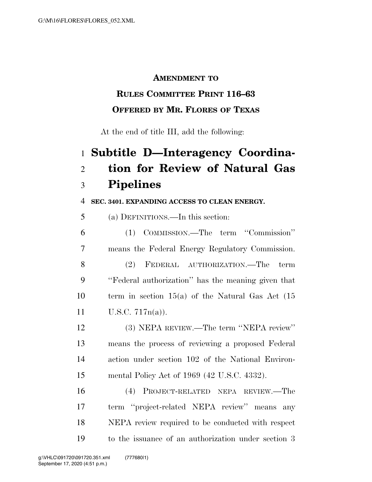#### **AMENDMENT TO**

## **RULES COMMITTEE PRINT 116–63**

### **OFFERED BY MR. FLORES OF TEXAS**

At the end of title III, add the following:

# **Subtitle D—Interagency Coordina- tion for Review of Natural Gas Pipelines**

#### **SEC. 3401. EXPANDING ACCESS TO CLEAN ENERGY.**

(a) DEFINITIONS.—In this section:

 (1) COMMISSION.—The term ''Commission'' means the Federal Energy Regulatory Commission.

 (2) FEDERAL AUTHORIZATION.—The term ''Federal authorization'' has the meaning given that term in section 15(a) of the Natural Gas Act (15 U.S.C. 717n(a)).

 (3) NEPA REVIEW.—The term ''NEPA review'' means the process of reviewing a proposed Federal action under section 102 of the National Environ-mental Policy Act of 1969 (42 U.S.C. 4332).

 (4) PROJECT-RELATED NEPA REVIEW.—The term ''project-related NEPA review'' means any NEPA review required to be conducted with respect to the issuance of an authorization under section 3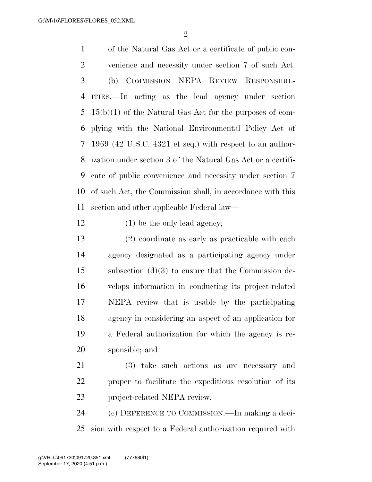$\mathfrak{D}$ 

 of the Natural Gas Act or a certificate of public con- venience and necessity under section 7 of such Act. (b) COMMISSION NEPA REVIEW RESPONSIBIL- ITIES.—In acting as the lead agency under section 15(b)(1) of the Natural Gas Act for the purposes of com- plying with the National Environmental Policy Act of 1969 (42 U.S.C. 4321 et seq.) with respect to an author- ization under section 3 of the Natural Gas Act or a certifi- cate of public convenience and necessity under section 7 of such Act, the Commission shall, in accordance with this section and other applicable Federal law—

- 12 (1) be the only lead agency;
- (2) coordinate as early as practicable with each agency designated as a participating agency under subsection (d)(3) to ensure that the Commission de- velops information in conducting its project-related NEPA review that is usable by the participating agency in considering an aspect of an application for a Federal authorization for which the agency is re-sponsible; and
- (3) take such actions as are necessary and proper to facilitate the expeditious resolution of its project-related NEPA review.

 (c) DEFERENCE TO COMMISSION.—In making a deci-sion with respect to a Federal authorization required with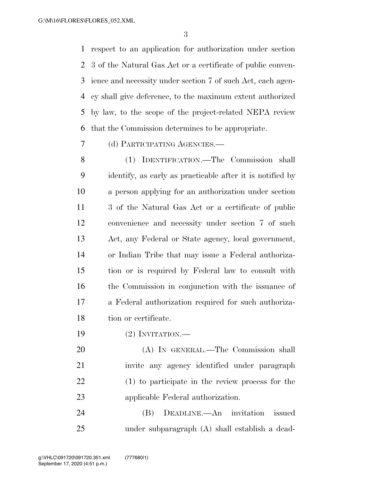respect to an application for authorization under section 3 of the Natural Gas Act or a certificate of public conven- ience and necessity under section 7 of such Act, each agen- cy shall give deference, to the maximum extent authorized by law, to the scope of the project-related NEPA review that the Commission determines to be appropriate.

(d) PARTICIPATING AGENCIES.—

 (1) IDENTIFICATION.—The Commission shall identify, as early as practicable after it is notified by a person applying for an authorization under section 3 of the Natural Gas Act or a certificate of public convenience and necessity under section 7 of such Act, any Federal or State agency, local government, or Indian Tribe that may issue a Federal authoriza- tion or is required by Federal law to consult with the Commission in conjunction with the issuance of a Federal authorization required for such authoriza-tion or certificate.

(2) INVITATION.—

 (A) IN GENERAL.—The Commission shall invite any agency identified under paragraph (1) to participate in the review process for the applicable Federal authorization.

 (B) DEADLINE.—An invitation issued under subparagraph (A) shall establish a dead-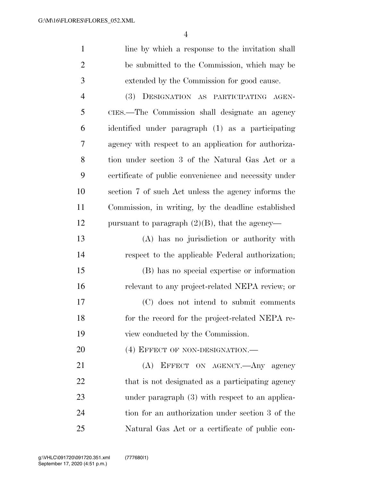| 1              | line by which a response to the invitation shall      |
|----------------|-------------------------------------------------------|
| $\overline{2}$ | be submitted to the Commission, which may be          |
| 3              | extended by the Commission for good cause.            |
| $\overline{4}$ | (3) DESIGNATION AS PARTICIPATING AGEN-                |
| 5              | CIES.—The Commission shall designate an agency        |
| 6              | identified under paragraph (1) as a participating     |
| 7              | agency with respect to an application for authoriza-  |
| 8              | tion under section 3 of the Natural Gas Act or a      |
| 9              | certificate of public convenience and necessity under |
| 10             | section 7 of such Act unless the agency informs the   |
| 11             | Commission, in writing, by the deadline established   |
| 12             | pursuant to paragraph $(2)(B)$ , that the agency—     |
| 13             | (A) has no jurisdiction or authority with             |
| 14             | respect to the applicable Federal authorization;      |
| 15             | (B) has no special expertise or information           |
| 16             | relevant to any project-related NEPA review; or       |
| 17             | (C) does not intend to submit comments                |
| 18             | for the record for the project-related NEPA re-       |
| 19             | view conducted by the Commission.                     |
| 20             | (4) EFFECT OF NON-DESIGNATION.—                       |
| 21             | (A) EFFECT ON AGENCY.—Any agency                      |
| 22             | that is not designated as a participating agency      |
| 23             | under paragraph $(3)$ with respect to an applica-     |
| 24             | tion for an authorization under section 3 of the      |
| 25             | Natural Gas Act or a certificate of public con-       |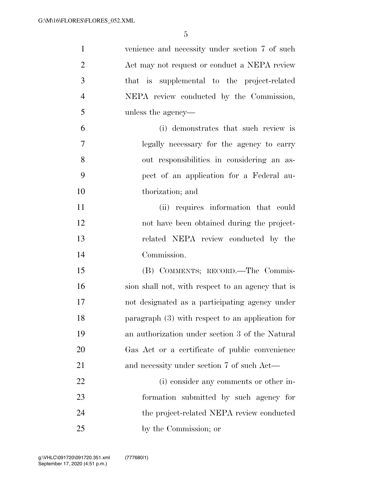| $\mathbf{1}$   | venience and necessity under section 7 of such    |
|----------------|---------------------------------------------------|
| $\overline{2}$ | Act may not request or conduct a NEPA review      |
| 3              | that is supplemental to the project-related       |
| $\overline{4}$ | NEPA review conducted by the Commission,          |
| 5              | unless the agency—                                |
| 6              | (i) demonstrates that such review is              |
| $\overline{7}$ | legally necessary for the agency to carry         |
| 8              | out responsibilities in considering an as-        |
| 9              | pect of an application for a Federal au-          |
| 10             | thorization; and                                  |
| 11             | (ii) requires information that could              |
| 12             | not have been obtained during the project-        |
| 13             | related NEPA review conducted by the              |
| 14             | Commission.                                       |
| 15             | (B) COMMENTS; RECORD.—The Commis-                 |
| 16             | sion shall not, with respect to an agency that is |
| 17             | not designated as a participating agency under    |
| 18             | paragraph (3) with respect to an application for  |
| 19             | an authorization under section 3 of the Natural   |
| 20             | Gas Act or a certificate of public convenience    |
| 21             | and necessity under section 7 of such Act—        |
| 22             | (i) consider any comments or other in-            |
| 23             | formation submitted by such agency for            |
| 24             | the project-related NEPA review conducted         |
| 25             | by the Commission; or                             |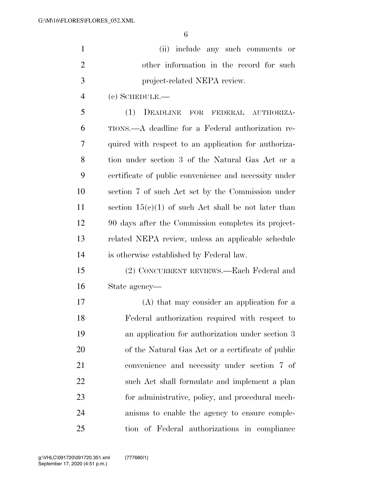|     | (ii) include any such comments or        |
|-----|------------------------------------------|
|     | other information in the record for such |
| - 3 | project-related NEPA review.             |
|     | $(e)$ SCHEDULE.—                         |

 (1) DEADLINE FOR FEDERAL AUTHORIZA- TIONS.—A deadline for a Federal authorization re- quired with respect to an application for authoriza- tion under section 3 of the Natural Gas Act or a certificate of public convenience and necessity under section 7 of such Act set by the Commission under 11 section  $15(c)(1)$  of such Act shall be not later than 90 days after the Commission completes its project- related NEPA review, unless an applicable schedule is otherwise established by Federal law.

 (2) CONCURRENT REVIEWS.—Each Federal and State agency—

 (A) that may consider an application for a Federal authorization required with respect to an application for authorization under section 3 of the Natural Gas Act or a certificate of public convenience and necessity under section 7 of such Act shall formulate and implement a plan for administrative, policy, and procedural mech- anisms to enable the agency to ensure comple-tion of Federal authorizations in compliance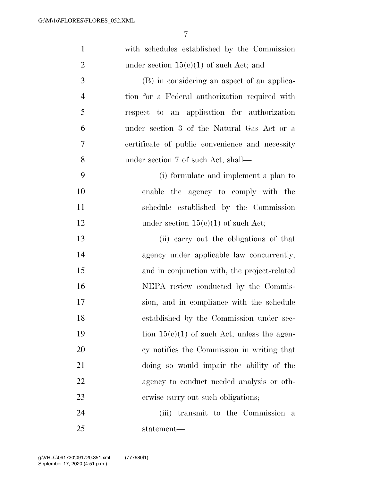| $\mathbf{1}$   | with schedules established by the Commission    |
|----------------|-------------------------------------------------|
| $\overline{2}$ | under section $15(e)(1)$ of such Act; and       |
| 3              | (B) in considering an aspect of an applica-     |
| $\overline{4}$ | tion for a Federal authorization required with  |
| 5              | respect to an application for authorization     |
| 6              | under section 3 of the Natural Gas Act or a     |
| 7              | certificate of public convenience and necessity |
| 8              | under section 7 of such Act, shall—             |
| 9              | (i) formulate and implement a plan to           |
| 10             | enable the agency to comply with the            |
| 11             | schedule established by the Commission          |
| 12             | under section $15(c)(1)$ of such Act;           |
| 13             | (ii) carry out the obligations of that          |
| 14             | agency under applicable law concurrently,       |
| 15             | and in conjunction with, the project-related    |
| 16             | NEPA review conducted by the Commis-            |
| 17             | sion, and in compliance with the schedule       |
| 18             | established by the Commission under sec-        |
| 19             | tion $15(c)(1)$ of such Act, unless the agen-   |
| 20             | cy notifies the Commission in writing that      |
| 21             | doing so would impair the ability of the        |
| 22             | agency to conduct needed analysis or oth-       |
| 23             | erwise carry out such obligations;              |
| 24             | (iii) transmit to the Commission a              |
| 25             | statement—                                      |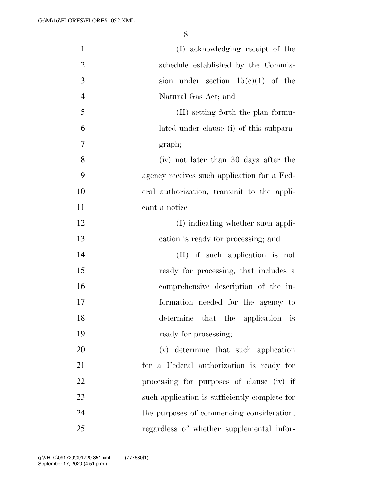| $\mathbf{1}$   | (I) acknowledging receipt of the              |
|----------------|-----------------------------------------------|
| $\overline{2}$ | schedule established by the Commis-           |
| 3              | sion under section $15(e)(1)$ of the          |
| $\overline{4}$ | Natural Gas Act; and                          |
| 5              | (II) setting forth the plan formu-            |
| 6              | lated under clause (i) of this subpara-       |
| 7              | graph;                                        |
| 8              | (iv) not later than 30 days after the         |
| 9              | agency receives such application for a Fed-   |
| 10             | eral authorization, transmit to the appli-    |
| 11             | cant a notice—                                |
| 12             | (I) indicating whether such appli-            |
| 13             | cation is ready for processing; and           |
| 14             | (II) if such application is not               |
| 15             | ready for processing, that includes a         |
| 16             | comprehensive description of the in-          |
| 17             | formation needed for the agency to            |
| 18             | determine that the application is             |
| 19             | ready for processing;                         |
| 20             | (v) determine that such application           |
| 21             | for a Federal authorization is ready for      |
| 22             | processing for purposes of clause (iv) if     |
| 23             | such application is sufficiently complete for |
| 24             | the purposes of commencing consideration,     |
| 25             | regardless of whether supplemental infor-     |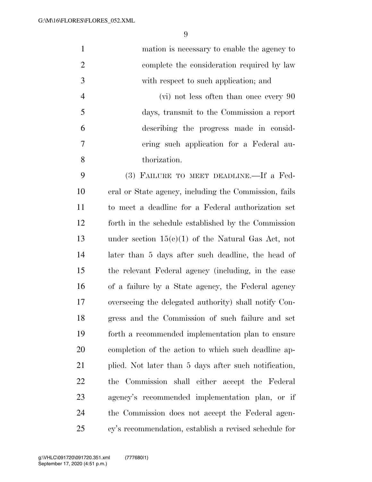| $\mathbf{1}$   | mation is necessary to enable the agency to           |
|----------------|-------------------------------------------------------|
| $\overline{2}$ | complete the consideration required by law            |
| 3              | with respect to such application; and                 |
| $\overline{4}$ | (vi) not less often than once every 90                |
| 5              | days, transmit to the Commission a report             |
| 6              | describing the progress made in consid-               |
| 7              | ering such application for a Federal au-              |
| 8              | thorization.                                          |
| 9              | (3) FAILURE TO MEET DEADLINE.—If a Fed-               |
| 10             | eral or State agency, including the Commission, fails |
| 11             | to meet a deadline for a Federal authorization set    |
| 12             | forth in the schedule established by the Commission   |
| 13             | under section $15(c)(1)$ of the Natural Gas Act, not  |
| 14             | later than 5 days after such deadline, the head of    |
| 15             | the relevant Federal agency (including, in the case   |
| 16             | of a failure by a State agency, the Federal agency    |
| 17             | overseeing the delegated authority) shall notify Con- |
| 18             | gress and the Commission of such failure and set      |
| 19             | forth a recommended implementation plan to ensure     |
| 20             | completion of the action to which such deadline ap-   |
| 21             | plied. Not later than 5 days after such notification, |
| 22             | the Commission shall either accept the Federal        |
| 23             | agency's recommended implementation plan, or if       |
| 24             | the Commission does not accept the Federal agen-      |
| 25             | cy's recommendation, establish a revised schedule for |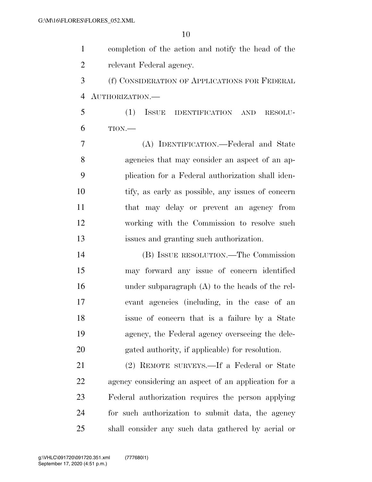completion of the action and notify the head of the relevant Federal agency. (f) CONSIDERATION OF APPLICATIONS FOR FEDERAL AUTHORIZATION.— (1) ISSUE IDENTIFICATION AND RESOLU- TION.— (A) IDENTIFICATION.—Federal and State agencies that may consider an aspect of an ap- plication for a Federal authorization shall iden- tify, as early as possible, any issues of concern that may delay or prevent an agency from working with the Commission to resolve such issues and granting such authorization. (B) ISSUE RESOLUTION.—The Commission may forward any issue of concern identified under subparagraph (A) to the heads of the rel- evant agencies (including, in the case of an issue of concern that is a failure by a State agency, the Federal agency overseeing the dele- gated authority, if applicable) for resolution. (2) REMOTE SURVEYS.—If a Federal or State agency considering an aspect of an application for a Federal authorization requires the person applying for such authorization to submit data, the agency shall consider any such data gathered by aerial or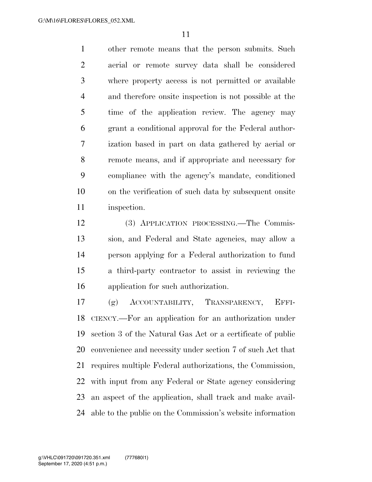other remote means that the person submits. Such aerial or remote survey data shall be considered where property access is not permitted or available and therefore onsite inspection is not possible at the time of the application review. The agency may grant a conditional approval for the Federal author- ization based in part on data gathered by aerial or remote means, and if appropriate and necessary for compliance with the agency's mandate, conditioned on the verification of such data by subsequent onsite inspection.

 (3) APPLICATION PROCESSING.—The Commis- sion, and Federal and State agencies, may allow a person applying for a Federal authorization to fund a third-party contractor to assist in reviewing the application for such authorization.

 (g) ACCOUNTABILITY, TRANSPARENCY, EFFI- CIENCY.—For an application for an authorization under section 3 of the Natural Gas Act or a certificate of public convenience and necessity under section 7 of such Act that requires multiple Federal authorizations, the Commission, with input from any Federal or State agency considering an aspect of the application, shall track and make avail-able to the public on the Commission's website information